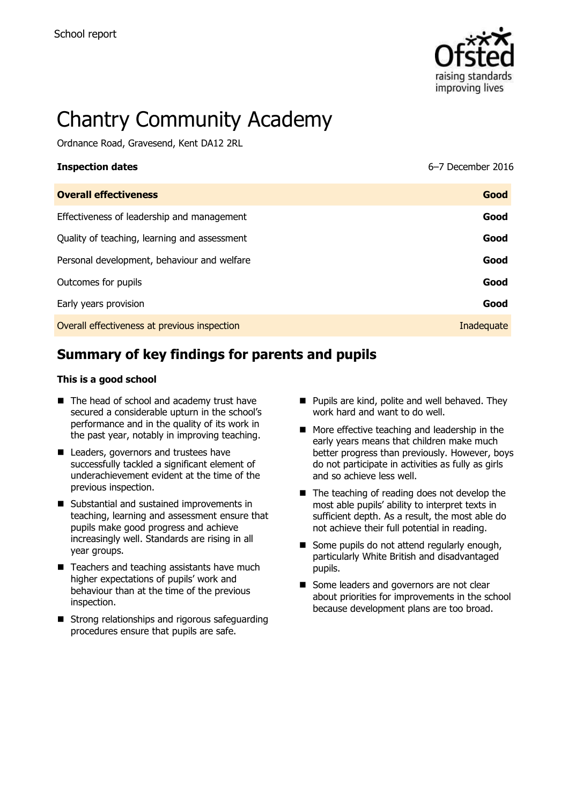

# Chantry Community Academy

Ordnance Road, Gravesend, Kent DA12 2RL

| <b>Inspection dates</b>                      | 6-7 December 2016 |
|----------------------------------------------|-------------------|
| <b>Overall effectiveness</b>                 | Good              |
| Effectiveness of leadership and management   | Good              |
| Quality of teaching, learning and assessment | Good              |
| Personal development, behaviour and welfare  | Good              |
| Outcomes for pupils                          | Good              |
| Early years provision                        | Good              |
| Overall effectiveness at previous inspection | Inadequate        |

# **Summary of key findings for parents and pupils**

#### **This is a good school**

- The head of school and academy trust have secured a considerable upturn in the school's performance and in the quality of its work in the past year, notably in improving teaching.
- Leaders, governors and trustees have successfully tackled a significant element of underachievement evident at the time of the previous inspection.
- Substantial and sustained improvements in teaching, learning and assessment ensure that pupils make good progress and achieve increasingly well. Standards are rising in all year groups.
- Teachers and teaching assistants have much higher expectations of pupils' work and behaviour than at the time of the previous inspection.
- Strong relationships and rigorous safeguarding procedures ensure that pupils are safe.
- **Pupils are kind, polite and well behaved. They** work hard and want to do well.
- $\blacksquare$  More effective teaching and leadership in the early years means that children make much better progress than previously. However, boys do not participate in activities as fully as girls and so achieve less well.
- The teaching of reading does not develop the most able pupils' ability to interpret texts in sufficient depth. As a result, the most able do not achieve their full potential in reading.
- Some pupils do not attend regularly enough, particularly White British and disadvantaged pupils.
- Some leaders and governors are not clear about priorities for improvements in the school because development plans are too broad.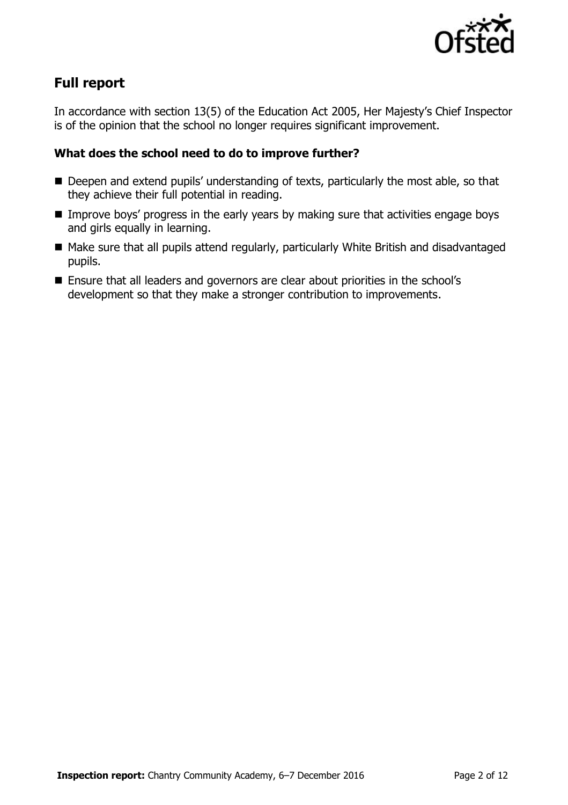

# **Full report**

In accordance with section 13(5) of the Education Act 2005, Her Majesty's Chief Inspector is of the opinion that the school no longer requires significant improvement.

#### **What does the school need to do to improve further?**

- Deepen and extend pupils' understanding of texts, particularly the most able, so that they achieve their full potential in reading.
- **IMPROVE BOYS' progress in the early years by making sure that activities engage boys** and girls equally in learning.
- Make sure that all pupils attend regularly, particularly White British and disadvantaged pupils.
- Ensure that all leaders and governors are clear about priorities in the school's development so that they make a stronger contribution to improvements.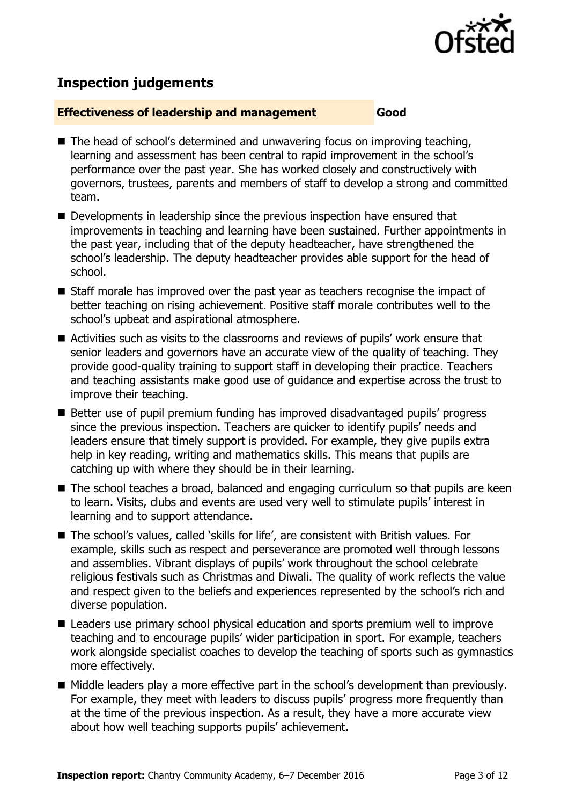

# **Inspection judgements**

#### **Effectiveness of leadership and management Good**

- The head of school's determined and unwavering focus on improving teaching, learning and assessment has been central to rapid improvement in the school's performance over the past year. She has worked closely and constructively with governors, trustees, parents and members of staff to develop a strong and committed team.
- Developments in leadership since the previous inspection have ensured that improvements in teaching and learning have been sustained. Further appointments in the past year, including that of the deputy headteacher, have strengthened the school's leadership. The deputy headteacher provides able support for the head of school.
- $\blacksquare$  Staff morale has improved over the past year as teachers recognise the impact of better teaching on rising achievement. Positive staff morale contributes well to the school's upbeat and aspirational atmosphere.
- Activities such as visits to the classrooms and reviews of pupils' work ensure that senior leaders and governors have an accurate view of the quality of teaching. They provide good-quality training to support staff in developing their practice. Teachers and teaching assistants make good use of guidance and expertise across the trust to improve their teaching.
- Better use of pupil premium funding has improved disadvantaged pupils' progress since the previous inspection. Teachers are quicker to identify pupils' needs and leaders ensure that timely support is provided. For example, they give pupils extra help in key reading, writing and mathematics skills. This means that pupils are catching up with where they should be in their learning.
- The school teaches a broad, balanced and engaging curriculum so that pupils are keen to learn. Visits, clubs and events are used very well to stimulate pupils' interest in learning and to support attendance.
- The school's values, called 'skills for life', are consistent with British values. For example, skills such as respect and perseverance are promoted well through lessons and assemblies. Vibrant displays of pupils' work throughout the school celebrate religious festivals such as Christmas and Diwali. The quality of work reflects the value and respect given to the beliefs and experiences represented by the school's rich and diverse population.
- Leaders use primary school physical education and sports premium well to improve teaching and to encourage pupils' wider participation in sport. For example, teachers work alongside specialist coaches to develop the teaching of sports such as gymnastics more effectively.
- Middle leaders play a more effective part in the school's development than previously. For example, they meet with leaders to discuss pupils' progress more frequently than at the time of the previous inspection. As a result, they have a more accurate view about how well teaching supports pupils' achievement.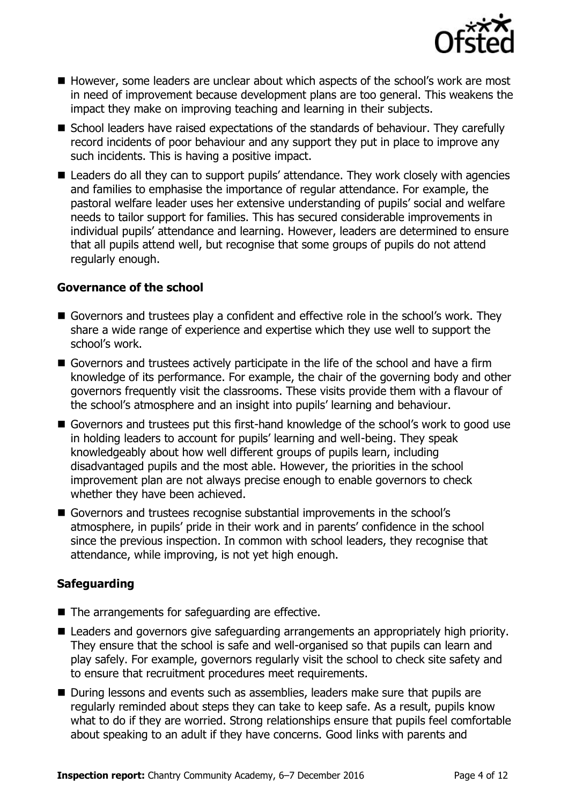

- However, some leaders are unclear about which aspects of the school's work are most in need of improvement because development plans are too general. This weakens the impact they make on improving teaching and learning in their subjects.
- School leaders have raised expectations of the standards of behaviour. They carefully record incidents of poor behaviour and any support they put in place to improve any such incidents. This is having a positive impact.
- Leaders do all they can to support pupils' attendance. They work closely with agencies and families to emphasise the importance of regular attendance. For example, the pastoral welfare leader uses her extensive understanding of pupils' social and welfare needs to tailor support for families. This has secured considerable improvements in individual pupils' attendance and learning. However, leaders are determined to ensure that all pupils attend well, but recognise that some groups of pupils do not attend regularly enough.

#### **Governance of the school**

- Governors and trustees play a confident and effective role in the school's work. They share a wide range of experience and expertise which they use well to support the school's work.
- Governors and trustees actively participate in the life of the school and have a firm knowledge of its performance. For example, the chair of the governing body and other governors frequently visit the classrooms. These visits provide them with a flavour of the school's atmosphere and an insight into pupils' learning and behaviour.
- Governors and trustees put this first-hand knowledge of the school's work to good use in holding leaders to account for pupils' learning and well-being. They speak knowledgeably about how well different groups of pupils learn, including disadvantaged pupils and the most able. However, the priorities in the school improvement plan are not always precise enough to enable governors to check whether they have been achieved.
- Governors and trustees recognise substantial improvements in the school's atmosphere, in pupils' pride in their work and in parents' confidence in the school since the previous inspection. In common with school leaders, they recognise that attendance, while improving, is not yet high enough.

#### **Safeguarding**

- $\blacksquare$  The arrangements for safeguarding are effective.
- Leaders and governors give safeguarding arrangements an appropriately high priority. They ensure that the school is safe and well-organised so that pupils can learn and play safely. For example, governors regularly visit the school to check site safety and to ensure that recruitment procedures meet requirements.
- During lessons and events such as assemblies, leaders make sure that pupils are regularly reminded about steps they can take to keep safe. As a result, pupils know what to do if they are worried. Strong relationships ensure that pupils feel comfortable about speaking to an adult if they have concerns. Good links with parents and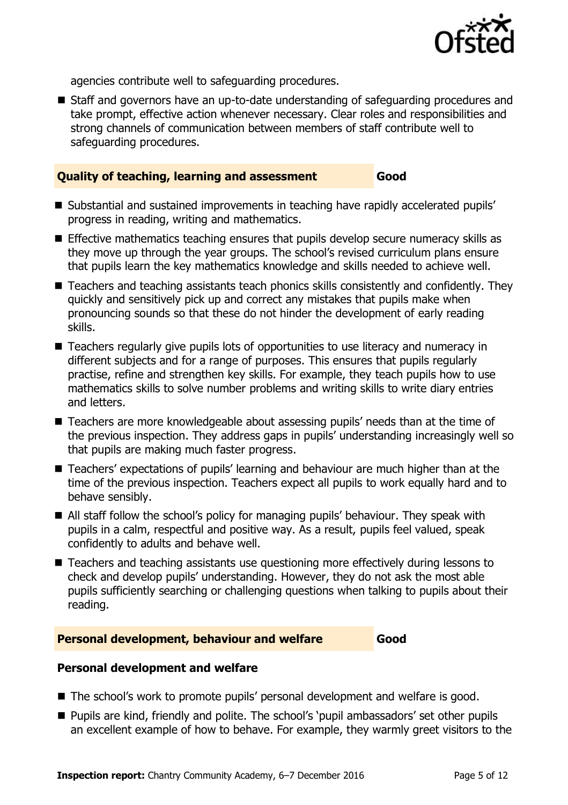

agencies contribute well to safeguarding procedures.

 Staff and governors have an up-to-date understanding of safeguarding procedures and take prompt, effective action whenever necessary. Clear roles and responsibilities and strong channels of communication between members of staff contribute well to safeguarding procedures.

#### **Quality of teaching, learning and assessment Good**

- Substantial and sustained improvements in teaching have rapidly accelerated pupils' progress in reading, writing and mathematics.
- **Effective mathematics teaching ensures that pupils develop secure numeracy skills as** they move up through the year groups. The school's revised curriculum plans ensure that pupils learn the key mathematics knowledge and skills needed to achieve well.
- Teachers and teaching assistants teach phonics skills consistently and confidently. They quickly and sensitively pick up and correct any mistakes that pupils make when pronouncing sounds so that these do not hinder the development of early reading skills.
- Teachers regularly give pupils lots of opportunities to use literacy and numeracy in different subjects and for a range of purposes. This ensures that pupils regularly practise, refine and strengthen key skills. For example, they teach pupils how to use mathematics skills to solve number problems and writing skills to write diary entries and letters.
- Teachers are more knowledgeable about assessing pupils' needs than at the time of the previous inspection. They address gaps in pupils' understanding increasingly well so that pupils are making much faster progress.
- Teachers' expectations of pupils' learning and behaviour are much higher than at the time of the previous inspection. Teachers expect all pupils to work equally hard and to behave sensibly.
- All staff follow the school's policy for managing pupils' behaviour. They speak with pupils in a calm, respectful and positive way. As a result, pupils feel valued, speak confidently to adults and behave well.
- Teachers and teaching assistants use questioning more effectively during lessons to check and develop pupils' understanding. However, they do not ask the most able pupils sufficiently searching or challenging questions when talking to pupils about their reading.

#### **Personal development, behaviour and welfare Good**

#### **Personal development and welfare**

- The school's work to promote pupils' personal development and welfare is good.
- **Pupils are kind, friendly and polite. The school's 'pupil ambassadors' set other pupils** an excellent example of how to behave. For example, they warmly greet visitors to the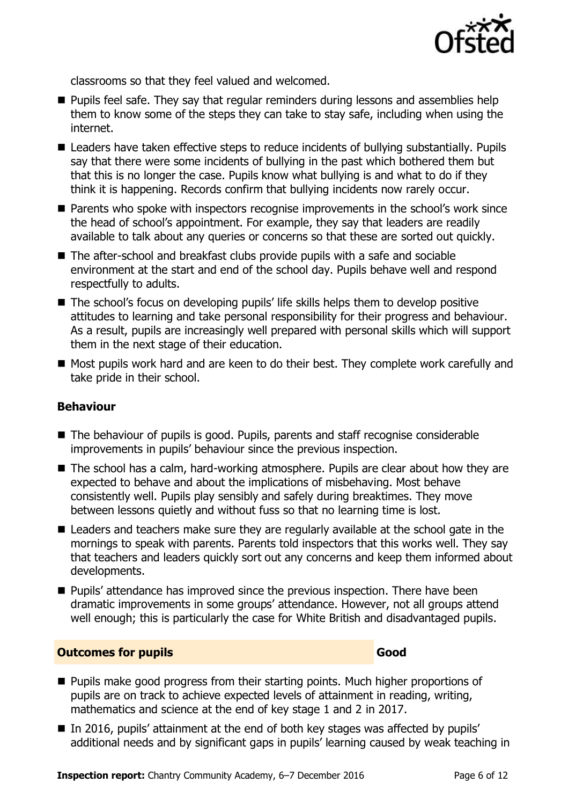

classrooms so that they feel valued and welcomed.

- **Pupils feel safe. They say that regular reminders during lessons and assemblies help** them to know some of the steps they can take to stay safe, including when using the internet.
- Leaders have taken effective steps to reduce incidents of bullying substantially. Pupils say that there were some incidents of bullying in the past which bothered them but that this is no longer the case. Pupils know what bullying is and what to do if they think it is happening. Records confirm that bullying incidents now rarely occur.
- Parents who spoke with inspectors recognise improvements in the school's work since the head of school's appointment. For example, they say that leaders are readily available to talk about any queries or concerns so that these are sorted out quickly.
- The after-school and breakfast clubs provide pupils with a safe and sociable environment at the start and end of the school day. Pupils behave well and respond respectfully to adults.
- The school's focus on developing pupils' life skills helps them to develop positive attitudes to learning and take personal responsibility for their progress and behaviour. As a result, pupils are increasingly well prepared with personal skills which will support them in the next stage of their education.
- Most pupils work hard and are keen to do their best. They complete work carefully and take pride in their school.

#### **Behaviour**

- The behaviour of pupils is good. Pupils, parents and staff recognise considerable improvements in pupils' behaviour since the previous inspection.
- The school has a calm, hard-working atmosphere. Pupils are clear about how they are expected to behave and about the implications of misbehaving. Most behave consistently well. Pupils play sensibly and safely during breaktimes. They move between lessons quietly and without fuss so that no learning time is lost.
- Leaders and teachers make sure they are regularly available at the school gate in the mornings to speak with parents. Parents told inspectors that this works well. They say that teachers and leaders quickly sort out any concerns and keep them informed about developments.
- Pupils' attendance has improved since the previous inspection. There have been dramatic improvements in some groups' attendance. However, not all groups attend well enough; this is particularly the case for White British and disadvantaged pupils.

#### **Outcomes for pupils Good**

- **Pupils make good progress from their starting points. Much higher proportions of** pupils are on track to achieve expected levels of attainment in reading, writing, mathematics and science at the end of key stage 1 and 2 in 2017.
- In 2016, pupils' attainment at the end of both key stages was affected by pupils' additional needs and by significant gaps in pupils' learning caused by weak teaching in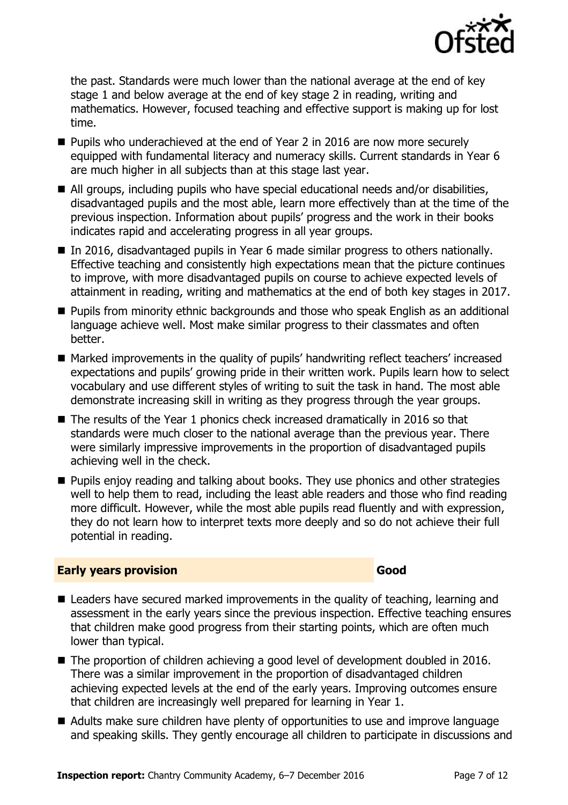

the past. Standards were much lower than the national average at the end of key stage 1 and below average at the end of key stage 2 in reading, writing and mathematics. However, focused teaching and effective support is making up for lost time.

- Pupils who underachieved at the end of Year 2 in 2016 are now more securely equipped with fundamental literacy and numeracy skills. Current standards in Year 6 are much higher in all subjects than at this stage last year.
- All groups, including pupils who have special educational needs and/or disabilities, disadvantaged pupils and the most able, learn more effectively than at the time of the previous inspection. Information about pupils' progress and the work in their books indicates rapid and accelerating progress in all year groups.
- In 2016, disadvantaged pupils in Year 6 made similar progress to others nationally. Effective teaching and consistently high expectations mean that the picture continues to improve, with more disadvantaged pupils on course to achieve expected levels of attainment in reading, writing and mathematics at the end of both key stages in 2017.
- Pupils from minority ethnic backgrounds and those who speak English as an additional language achieve well. Most make similar progress to their classmates and often better.
- Marked improvements in the quality of pupils' handwriting reflect teachers' increased expectations and pupils' growing pride in their written work. Pupils learn how to select vocabulary and use different styles of writing to suit the task in hand. The most able demonstrate increasing skill in writing as they progress through the year groups.
- The results of the Year 1 phonics check increased dramatically in 2016 so that standards were much closer to the national average than the previous year. There were similarly impressive improvements in the proportion of disadvantaged pupils achieving well in the check.
- Pupils enjoy reading and talking about books. They use phonics and other strategies well to help them to read, including the least able readers and those who find reading more difficult. However, while the most able pupils read fluently and with expression, they do not learn how to interpret texts more deeply and so do not achieve their full potential in reading.

#### **Early years provision Good**

- Leaders have secured marked improvements in the quality of teaching, learning and assessment in the early years since the previous inspection. Effective teaching ensures that children make good progress from their starting points, which are often much lower than typical.
- The proportion of children achieving a good level of development doubled in 2016. There was a similar improvement in the proportion of disadvantaged children achieving expected levels at the end of the early years. Improving outcomes ensure that children are increasingly well prepared for learning in Year 1.
- Adults make sure children have plenty of opportunities to use and improve language and speaking skills. They gently encourage all children to participate in discussions and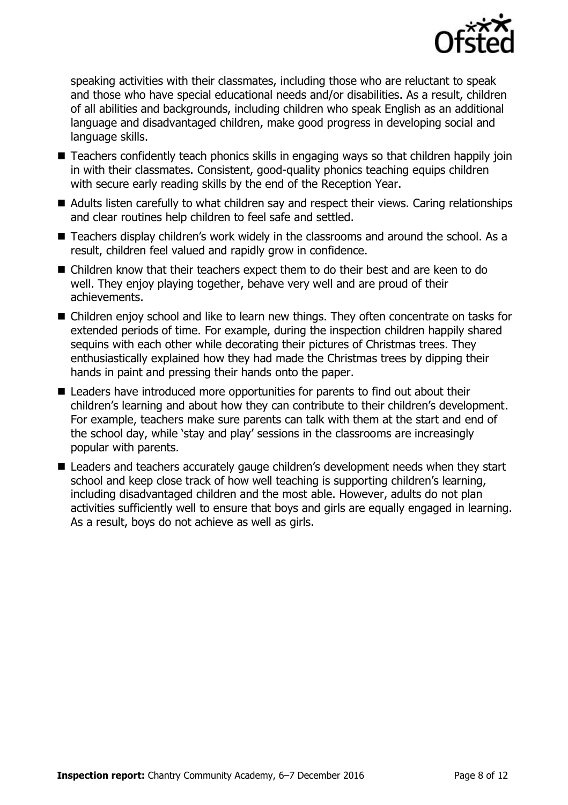

speaking activities with their classmates, including those who are reluctant to speak and those who have special educational needs and/or disabilities. As a result, children of all abilities and backgrounds, including children who speak English as an additional language and disadvantaged children, make good progress in developing social and language skills.

- Teachers confidently teach phonics skills in engaging ways so that children happily join in with their classmates. Consistent, good-quality phonics teaching equips children with secure early reading skills by the end of the Reception Year.
- Adults listen carefully to what children say and respect their views. Caring relationships and clear routines help children to feel safe and settled.
- Teachers display children's work widely in the classrooms and around the school. As a result, children feel valued and rapidly grow in confidence.
- Children know that their teachers expect them to do their best and are keen to do well. They enjoy playing together, behave very well and are proud of their achievements.
- Children enjoy school and like to learn new things. They often concentrate on tasks for extended periods of time. For example, during the inspection children happily shared sequins with each other while decorating their pictures of Christmas trees. They enthusiastically explained how they had made the Christmas trees by dipping their hands in paint and pressing their hands onto the paper.
- Leaders have introduced more opportunities for parents to find out about their children's learning and about how they can contribute to their children's development. For example, teachers make sure parents can talk with them at the start and end of the school day, while 'stay and play' sessions in the classrooms are increasingly popular with parents.
- Leaders and teachers accurately gauge children's development needs when they start school and keep close track of how well teaching is supporting children's learning, including disadvantaged children and the most able. However, adults do not plan activities sufficiently well to ensure that boys and girls are equally engaged in learning. As a result, boys do not achieve as well as girls.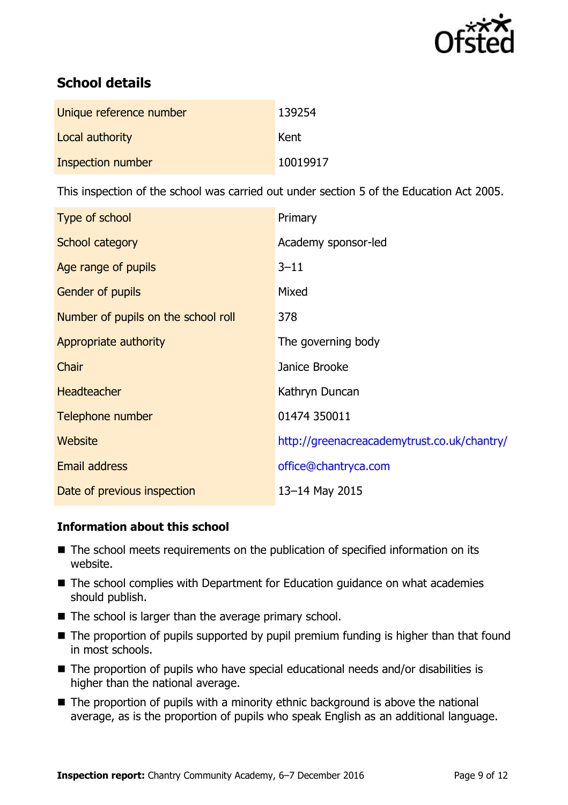

# **School details**

| Unique reference number  | 139254   |
|--------------------------|----------|
| Local authority          | Kent     |
| <b>Inspection number</b> | 10019917 |

This inspection of the school was carried out under section 5 of the Education Act 2005.

| Type of school                      | Primary                                     |
|-------------------------------------|---------------------------------------------|
| School category                     | Academy sponsor-led                         |
| Age range of pupils                 | $3 - 11$                                    |
| Gender of pupils                    | Mixed                                       |
| Number of pupils on the school roll | 378                                         |
| Appropriate authority               | The governing body                          |
| Chair                               | Janice Brooke                               |
| <b>Headteacher</b>                  | Kathryn Duncan                              |
| Telephone number                    | 01474 350011                                |
| Website                             | http://greenacreacademytrust.co.uk/chantry/ |
| Email address                       | office@chantryca.com                        |
| Date of previous inspection         | 13-14 May 2015                              |

#### **Information about this school**

- The school meets requirements on the publication of specified information on its website.
- The school complies with Department for Education guidance on what academies should publish.
- $\blacksquare$  The school is larger than the average primary school.
- The proportion of pupils supported by pupil premium funding is higher than that found in most schools.
- The proportion of pupils who have special educational needs and/or disabilities is higher than the national average.
- $\blacksquare$  The proportion of pupils with a minority ethnic background is above the national average, as is the proportion of pupils who speak English as an additional language.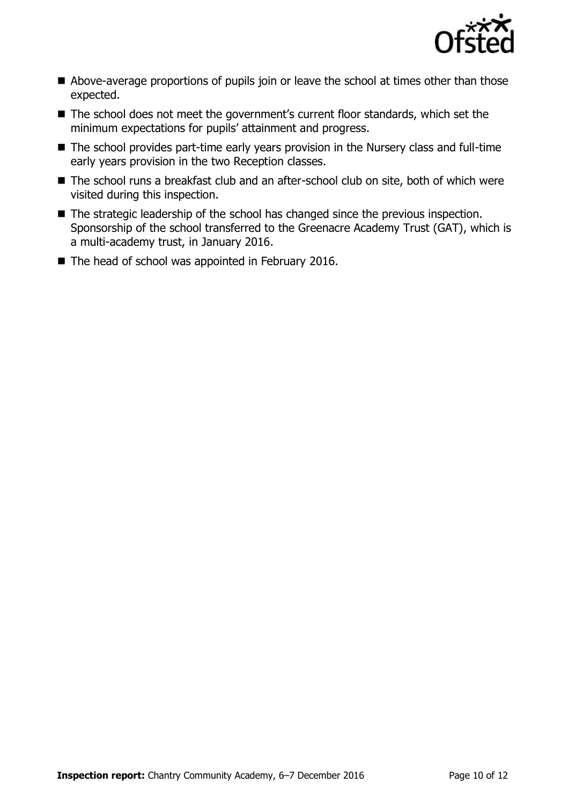

- Above-average proportions of pupils join or leave the school at times other than those expected.
- The school does not meet the government's current floor standards, which set the minimum expectations for pupils' attainment and progress.
- The school provides part-time early years provision in the Nursery class and full-time early years provision in the two Reception classes.
- The school runs a breakfast club and an after-school club on site, both of which were visited during this inspection.
- The strategic leadership of the school has changed since the previous inspection. Sponsorship of the school transferred to the Greenacre Academy Trust (GAT), which is a multi-academy trust, in January 2016.
- The head of school was appointed in February 2016.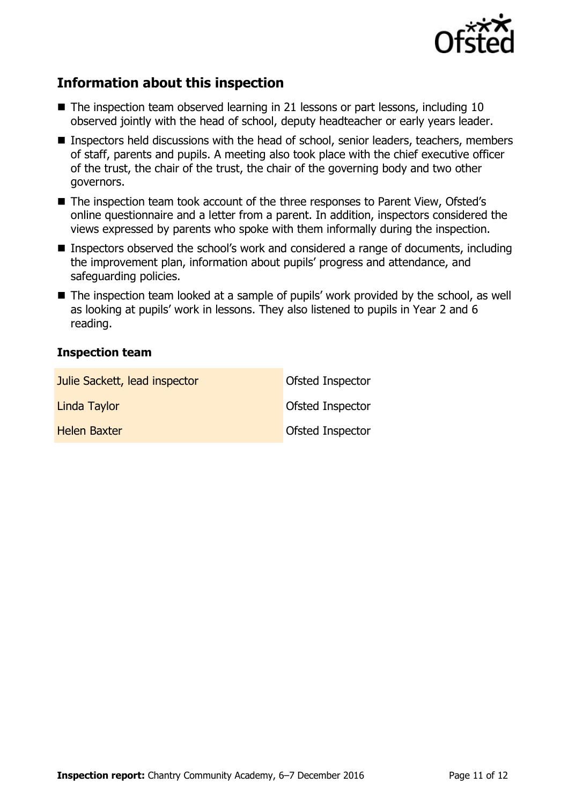

## **Information about this inspection**

- The inspection team observed learning in 21 lessons or part lessons, including 10 observed jointly with the head of school, deputy headteacher or early years leader.
- Inspectors held discussions with the head of school, senior leaders, teachers, members of staff, parents and pupils. A meeting also took place with the chief executive officer of the trust, the chair of the trust, the chair of the governing body and two other governors.
- The inspection team took account of the three responses to Parent View, Ofsted's online questionnaire and a letter from a parent. In addition, inspectors considered the views expressed by parents who spoke with them informally during the inspection.
- Inspectors observed the school's work and considered a range of documents, including the improvement plan, information about pupils' progress and attendance, and safeguarding policies.
- The inspection team looked at a sample of pupils' work provided by the school, as well as looking at pupils' work in lessons. They also listened to pupils in Year 2 and 6 reading.

### **Inspection team**

| Julie Sackett, lead inspector | Ofsted Inspector |
|-------------------------------|------------------|
| Linda Taylor                  | Ofsted Inspector |
| <b>Helen Baxter</b>           | Ofsted Inspector |